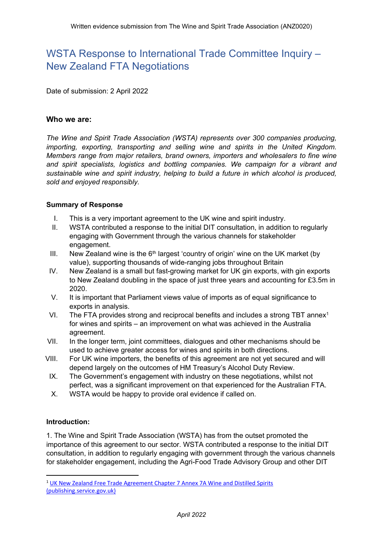# WSTA Response to International Trade Committee Inquiry – New Zealand FTA Negotiations

Date of submission: 2 April 2022

#### **Who we are:**

*The Wine and Spirit Trade Association (WSTA) represents over 300 companies producing, importing, exporting, transporting and selling wine and spirits in the United Kingdom. Members range from major retailers, brand owners, importers and wholesalers to fine wine and spirit specialists, logistics and bottling companies. We campaign for a vibrant and sustainable wine and spirit industry, helping to build a future in which alcohol is produced, sold and enjoyed responsibly.*

#### **Summary of Response**

- I. This is a very important agreement to the UK wine and spirit industry.
- II. WSTA contributed a response to the initial DIT consultation, in addition to regularly engaging with Government through the various channels for stakeholder engagement.
- III. New Zealand wine is the  $6<sup>th</sup>$  largest 'country of origin' wine on the UK market (by value), supporting thousands of wide-ranging jobs throughout Britain
- IV. New Zealand is a small but fast-growing market for UK gin exports, with gin exports to New Zealand doubling in the space of just three years and accounting for £3.5m in 2020.
- V. It is important that Parliament views value of imports as of equal significance to exports in analysis.
- VI. The FTA provides strong and reciprocal benefits and includes a strong TBT annex<sup>1</sup> for wines and spirits – an improvement on what was achieved in the Australia agreement.
- VII. In the longer term, joint committees, dialogues and other mechanisms should be used to achieve greater access for wines and spirits in both directions.
- VIII. For UK wine importers, the benefits of this agreement are not yet secured and will depend largely on the outcomes of HM Treasury's Alcohol Duty Review.
	- IX. The Government's engagement with industry on these negotiations, whilst not perfect, was a significant improvement on that experienced for the Australian FTA.
	- X. WSTA would be happy to provide oral evidence if called on.

## **Introduction:**

1. The Wine and Spirit Trade Association (WSTA) has from the outset promoted the importance of this agreement to our sector. WSTA contributed a response to the initial DIT consultation, in addition to regularly engaging with government through the various channels for stakeholder engagement, including the Agri-Food Trade Advisory Group and other DIT

<sup>1</sup> [UK](https://assets.publishing.service.gov.uk/government/uploads/system/uploads/attachment_data/file/1056271/uk-new-zealand-free-trade-agreement-chapter-annex-7a-wine-and-distilled-spirits.pdf) [New](https://assets.publishing.service.gov.uk/government/uploads/system/uploads/attachment_data/file/1056271/uk-new-zealand-free-trade-agreement-chapter-annex-7a-wine-and-distilled-spirits.pdf) [Zealand](https://assets.publishing.service.gov.uk/government/uploads/system/uploads/attachment_data/file/1056271/uk-new-zealand-free-trade-agreement-chapter-annex-7a-wine-and-distilled-spirits.pdf) [Free](https://assets.publishing.service.gov.uk/government/uploads/system/uploads/attachment_data/file/1056271/uk-new-zealand-free-trade-agreement-chapter-annex-7a-wine-and-distilled-spirits.pdf) [Trade](https://assets.publishing.service.gov.uk/government/uploads/system/uploads/attachment_data/file/1056271/uk-new-zealand-free-trade-agreement-chapter-annex-7a-wine-and-distilled-spirits.pdf) [Agreement](https://assets.publishing.service.gov.uk/government/uploads/system/uploads/attachment_data/file/1056271/uk-new-zealand-free-trade-agreement-chapter-annex-7a-wine-and-distilled-spirits.pdf) [Chapter](https://assets.publishing.service.gov.uk/government/uploads/system/uploads/attachment_data/file/1056271/uk-new-zealand-free-trade-agreement-chapter-annex-7a-wine-and-distilled-spirits.pdf) [7](https://assets.publishing.service.gov.uk/government/uploads/system/uploads/attachment_data/file/1056271/uk-new-zealand-free-trade-agreement-chapter-annex-7a-wine-and-distilled-spirits.pdf) [Annex](https://assets.publishing.service.gov.uk/government/uploads/system/uploads/attachment_data/file/1056271/uk-new-zealand-free-trade-agreement-chapter-annex-7a-wine-and-distilled-spirits.pdf) [7A](https://assets.publishing.service.gov.uk/government/uploads/system/uploads/attachment_data/file/1056271/uk-new-zealand-free-trade-agreement-chapter-annex-7a-wine-and-distilled-spirits.pdf) [Wine](https://assets.publishing.service.gov.uk/government/uploads/system/uploads/attachment_data/file/1056271/uk-new-zealand-free-trade-agreement-chapter-annex-7a-wine-and-distilled-spirits.pdf) [and](https://assets.publishing.service.gov.uk/government/uploads/system/uploads/attachment_data/file/1056271/uk-new-zealand-free-trade-agreement-chapter-annex-7a-wine-and-distilled-spirits.pdf) [Distilled](https://assets.publishing.service.gov.uk/government/uploads/system/uploads/attachment_data/file/1056271/uk-new-zealand-free-trade-agreement-chapter-annex-7a-wine-and-distilled-spirits.pdf) [Spirits](https://assets.publishing.service.gov.uk/government/uploads/system/uploads/attachment_data/file/1056271/uk-new-zealand-free-trade-agreement-chapter-annex-7a-wine-and-distilled-spirits.pdf) [\(publishing.service.gov.uk\)](https://assets.publishing.service.gov.uk/government/uploads/system/uploads/attachment_data/file/1056271/uk-new-zealand-free-trade-agreement-chapter-annex-7a-wine-and-distilled-spirits.pdf)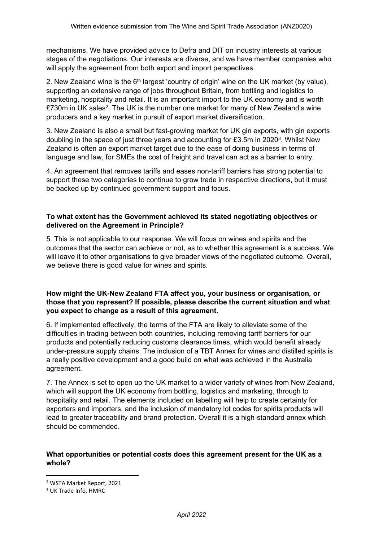mechanisms. We have provided advice to Defra and DIT on industry interests at various stages of the negotiations. Our interests are diverse, and we have member companies who will apply the agreement from both export and import perspectives.

2. New Zealand wine is the 6<sup>th</sup> largest 'country of origin' wine on the UK market (by value), supporting an extensive range of jobs throughout Britain, from bottling and logistics to marketing, hospitality and retail. It is an important import to the UK economy and is worth £730m in UK sales<sup>2</sup>. The UK is the number one market for many of New Zealand's wine producers and a key market in pursuit of export market diversification.

3. New Zealand is also a small but fast-growing market for UK gin exports, with gin exports doubling in the space of just three years and accounting for £3.5m in 2020<sup>3</sup>. Whilst New Zealand is often an export market target due to the ease of doing business in terms of language and law, for SMEs the cost of freight and travel can act as a barrier to entry.

4. An agreement that removes tariffs and eases non-tariff barriers has strong potential to support these two categories to continue to grow trade in respective directions, but it must be backed up by continued government support and focus.

## **To what extent has the Government achieved its stated negotiating objectives or delivered on the Agreement in Principle?**

5. This is not applicable to our response. We will focus on wines and spirits and the outcomes that the sector can achieve or not, as to whether this agreement is a success. We will leave it to other organisations to give broader views of the negotiated outcome. Overall, we believe there is good value for wines and spirits.

### **How might the UK-New Zealand FTA affect you, your business or organisation, or those that you represent? If possible, please describe the current situation and what you expect to change as a result of this agreement.**

6. If implemented effectively, the terms of the FTA are likely to alleviate some of the difficulties in trading between both countries, including removing tariff barriers for our products and potentially reducing customs clearance times, which would benefit already under-pressure supply chains. The inclusion of a TBT Annex for wines and distilled spirits is a really positive development and a good build on what was achieved in the Australia agreement.

7. The Annex is set to open up the UK market to a wider variety of wines from New Zealand, which will support the UK economy from bottling, logistics and marketing, through to hospitality and retail. The elements included on labelling will help to create certainty for exporters and importers, and the inclusion of mandatory lot codes for spirits products will lead to greater traceability and brand protection. Overall it is a high-standard annex which should be commended.

#### **What opportunities or potential costs does this agreement present for the UK as a whole?**

<sup>2</sup> WSTA Market Report, 2021

<sup>3</sup> UK Trade Info, HMRC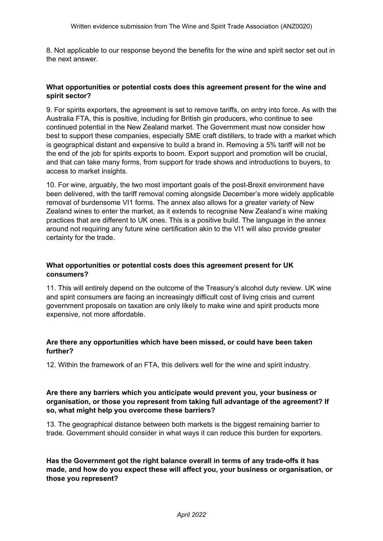8. Not applicable to our response beyond the benefits for the wine and spirit sector set out in the next answer.

#### **What opportunities or potential costs does this agreement present for the wine and spirit sector?**

9. For spirits exporters, the agreement is set to remove tariffs, on entry into force. As with the Australia FTA, this is positive, including for British gin producers, who continue to see continued potential in the New Zealand market. The Government must now consider how best to support these companies, especially SME craft distillers, to trade with a market which is geographical distant and expensive to build a brand in. Removing a 5% tariff will not be the end of the job for spirits exports to boom. Export support and promotion will be crucial, and that can take many forms, from support for trade shows and introductions to buyers, to access to market insights.

10. For wine, arguably, the two most important goals of the post-Brexit environment have been delivered, with the tariff removal coming alongside December's more widely applicable removal of burdensome VI1 forms. The annex also allows for a greater variety of New Zealand wines to enter the market, as it extends to recognise New Zealand's wine making practices that are different to UK ones. This is a positive build. The language in the annex around not requiring any future wine certification akin to the VI1 will also provide greater certainty for the trade.

#### **What opportunities or potential costs does this agreement present for UK consumers?**

11. This will entirely depend on the outcome of the Treasury's alcohol duty review. UK wine and spirit consumers are facing an increasingly difficult cost of living crisis and current government proposals on taxation are only likely to make wine and spirit products more expensive, not more affordable.

## **Are there any opportunities which have been missed, or could have been taken further?**

12. Within the framework of an FTA, this delivers well for the wine and spirit industry.

#### **Are there any barriers which you anticipate would prevent you, your business or organisation, or those you represent from taking full advantage of the agreement? If so, what might help you overcome these barriers?**

13. The geographical distance between both markets is the biggest remaining barrier to trade. Government should consider in what ways it can reduce this burden for exporters.

**Has the Government got the right balance overall in terms of any trade-offs it has made, and how do you expect these will affect you, your business or organisation, or those you represent?**